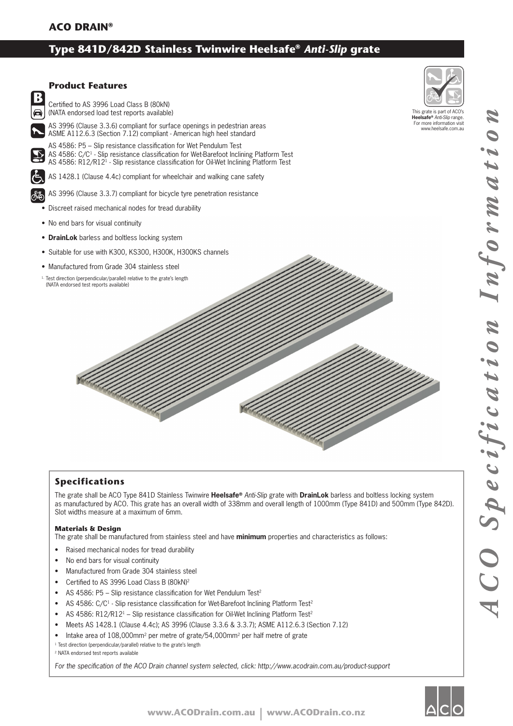# **Type 841D/842D Stainless Twinwire Heelsafe®** *Anti-Slip* **grate**



# **Specifications**

The grate shall be ACO Type 841D Stainless Twinwire **Heelsafe®** *Anti-Slip* grate with **DrainLok** barless and boltless locking system as manufactured by ACO. This grate has an overall width of 338mm and overall length of 1000mm (Type 841D) and 500mm (Type 842D). Slot widths measure at a maximum of 6mm.

### **Materials & Design**

The grate shall be manufactured from stainless steel and have **minimum** properties and characteristics as follows:

- Raised mechanical nodes for tread durability
- No end bars for visual continuity
- Manufactured from Grade 304 stainless steel
- Certified to AS 3996 Load Class B (80kN)<sup>2</sup>
- AS 4586: P5 Slip resistance classification for Wet Pendulum Test<sup>2</sup>
- AS 4586: C/C<sup>1</sup> Slip resistance classification for Wet-Barefoot Inclining Platform Test<sup>2</sup>
- AS 4586: R12/R12<sup>1</sup> Slip resistance classification for Oil-Wet Inclining Platform Test<sup>2</sup>
- Meets AS 1428.1 (Clause 4.4c); AS 3996 (Clause 3.3.6 & 3.3.7); ASME A112.6.3 (Section 7.12)
- Intake area of 108,000mm<sup>2</sup> per metre of grate/54,000mm<sup>2</sup> per half metre of grate
- <sup>1</sup> Test direction (perpendicular/parallel) relative to the grate's length

2 NATA endorsed test reports available

For the specification of the ACO Drain channel system selected, click: http://www.acodrain.com.au/product-support